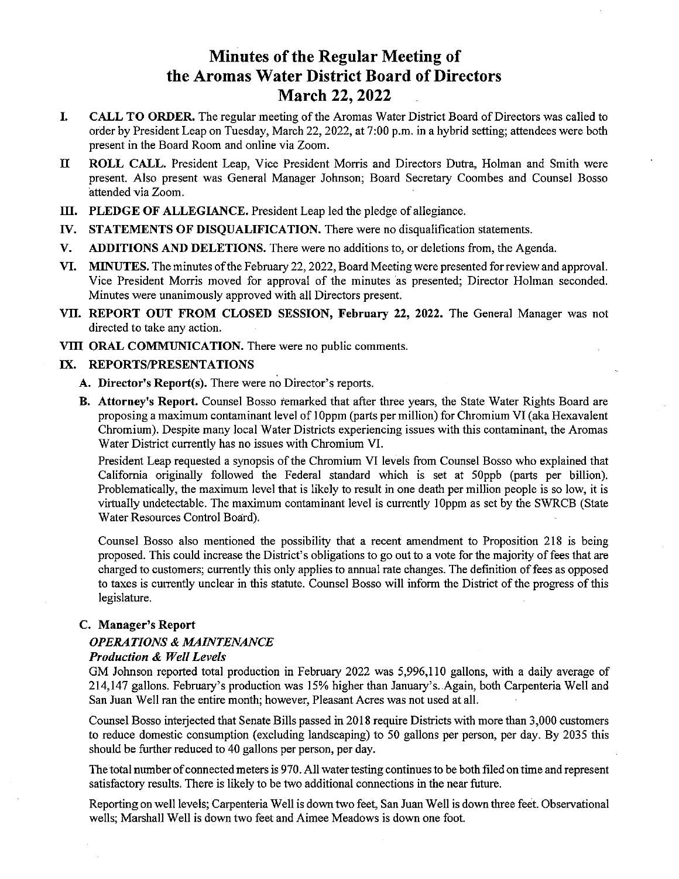# Minutes of the Regular Meeting of the Aromas Water District Board of Directors March 22, 2022

- I. CALL TO ORDER. The regular meeting of the Aromas Water District Board of Directors was called to order by President Leap on Tuesday, March 22, 2022, at 7:00 p.m. in <sup>a</sup> hybrid setting; attendees were both present in the Board Room and online via Zoom.
- II ROLL CALL. President Leap, Vice President Morris and Directors Dutra, Holman and Smith were present. Also present was General Manager Johnson; Board Secretary Coombes and Counsel Bosso attended via Zoom.
- III. PLEDGE OF ALLEGIANCE. President Leap led the pledge of allegiance.
- W. STATEMENTS OF DISQUALIFICATION. There were no disqualification statements.
- V. ADDITIONS AND DELETIONS. There were no additions to, or deletions from, the Agenda.
- VI. MINUTES. The minutes ofthe February 22,2022, Board Meeting were presented for review and approval. Vice President Morris moved for approval of the minutes as presented; Director Holman seconded. Minutes were unanimously approved with all Directors present.
- VII. REPORT OUT FROM CLOSED SESSION, February 22, 2022. The General Manager was not directed to take any action.
- VIII ORAL COMMUNICATION. There were no public comments.

#### IX. REPORTS/PRESENTATIONS

- A. Director's Report(s). There were no Director's reports.
- B. Attorney's Report. Counsel Bosso remarked that after three years, the State Water Rights Board are proposing <sup>a</sup> maximum contaminant level of <sup>1</sup> Oppm (parts per million) for Chromium VI (aka Hexavalent Chromium). Despite many local Water Districts experiencing issues with this contaminant, the Aromas Water District currently has no issues with Chromium VI.

President Leap requested <sup>a</sup> synopsis of the Chromium VI levels from Counsel Bosso who explained that California originally followed the Federal standard which is set at 50ppb (parts per billion). Problematically, the maximum level that is likely to result in one death per million people is so low, it is virtually undetectable. The maximum contaminant level is currently l0ppm as set by the SWRCB (State Water Resources Control Board).

Counsel Bosso also mentioned the possibility that a recent amendment to Proposition 218 is being proposed. This could increase the District's obligations to go out to <sup>a</sup> vote for the majority of fees that are charged to customers; currently this only applies to annual rate changes. The definition of fees as opposed to taxes is currently unclear in this statute. Counsel Bosso will inform the District of the progress of this legislature.

## C. Manager's Report

#### OPERATIONS & MAINTENANCE

#### Production & Well Levels

GM Johnson reported total production in February 2022 was 5,996,110 gallons, with <sup>a</sup> daily average of 214,147 gallons. February's production was 15% higher than January's. .Again, both Carpenteria Well and San Juan Well ran the entire month; however, Pleasant Acres was not used at all.

Counsel Bosso interjected that Senate Bills passed in 2018 require Districts with more than 3,000 customers to reduce domestic consumption (excluding landscaping) to 50 gallons per person, per day. By 2035 this should be further reduced to 40 gallons per person, per day.

The total number of connected meters is 970. All water testing continues to be both filed on time and represent satisfactory results. There is likely to be two additional connections in the near future.

Reporting on well levels; Carpenteria Well is down two feet, San Juan Well is down three feet. Observational wells; Marshall Well is down two feet and Aimee Meadows is down one foot.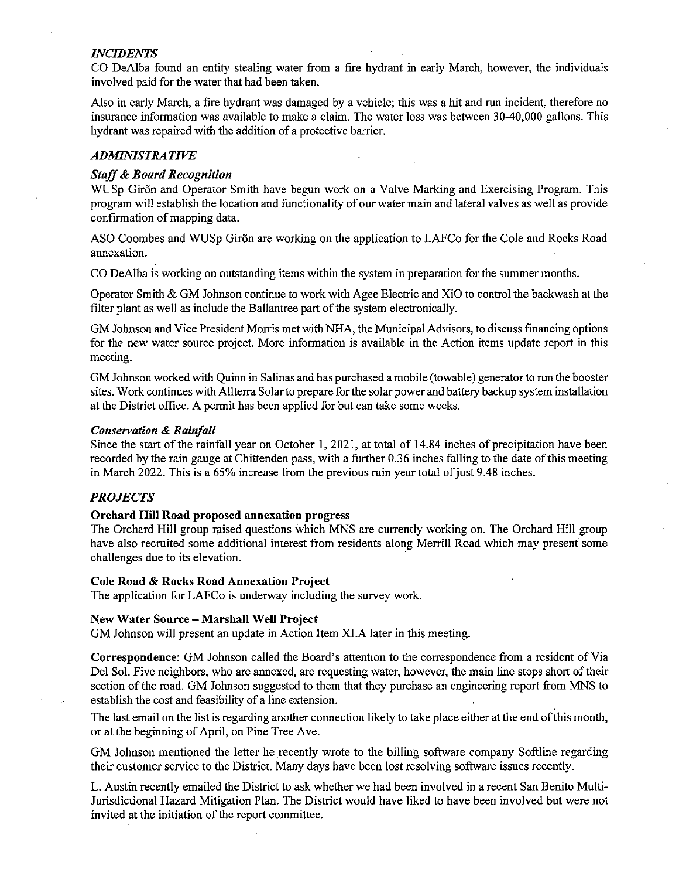#### INCIDENTS

CO DeAlba found an entity stealing water from a fire hydrant in early March, however, the individuals involved paid for the water that had been taken.

Also in early March, <sup>a</sup> fire hydrant was damaged by <sup>a</sup> vehicle; this was a hit and run incident, therefore no insurance information was available to make a claim. The water loss was between 30-40,000 gallons. This hydrant was repaired with the addition of <sup>a</sup> protective barrier.

# **ADMINISTRATIVE**

#### Staff& Board Recognition

WUSp Giron and Operator Smith have begun work on a Valve Marking and Exercising Program. This program will establish the location and functionality of our water main and lateral valves as well as provide confirmation of mapping data.

ASO Coombes and WUSp Giron are working on the application to LAFCo for the Cole and Rocks Road annexation.

CO DeAlba is working on outstanding items within the system in preparation for the summer months.

Operator Smith & GM Johnson continue to work with Agee Electric and XiO to control the backwash at the filter plant as well as include the Ballantree part of the system electronically.

GM Johnson and Vice President Morris met with NHA, the Municipal Advisors, to discuss financing options for the new water source project. More information is available in the Action items update report in this meeting.

GM Johnson worked with Quinn in Salinas and has purchased <sup>a</sup> mobile (towable) generator to run the booster sites. Work continues with Allterra Solar to prepare for the solar power and battery backup system installation at the District office. A permit has been applied for but can take some weeks.

#### Conservation & Rainfall

Since the start of the rainfall year on October 1, 2021, at total of 14.84 inches of precipitation have been recorded by the rain gauge at Chittenden pass, with a further 0.36 inches falling to the date of this meeting in March 2022. This is a 65% increase from the previous rain year total of just 9.48 inches.

## PROJECTS

#### Orchard Hill Road proposed annexation progress

The Orchard Hill group raised questions which MNS are currently working on. The Orchard Hill group have also recruited some additional interest from residents along Merrill Road which may present some challenges due to its elevation.

#### Cole Road & Rocks Road Annexation Project

The application for LAFCo is underway including the survey work.

#### New Water Source — Marshall Well Project

GM Johnson will present an update in Action Item XI.A later in this meeting.

Correspondence: GM Johnson called the Board's attention to the correspondence from <sup>a</sup> resident of Via Del Sol. Five neighbors, who are annexed, are requesting water, however, the main line stops short of their section of the road. GM Johnson suggested to them that they purchase an engineering report from MNS to establish the cost and feasibility of <sup>a</sup> line extension.

The last email on the list is regarding another connection likely to take place either at the end ofthis month, or at the beginning of April, on Pine Tree Ave.

GM Johnson mentioned the letter he recently wrote to the billing software company Sofiline regarding their customer service to the District. Many days have been lost resolving software issues recently.

L. Austin recently emailed the District to ask whether we had been involved in <sup>a</sup> recent San Benito Multi-Jurisdictional Hazard Mitigation Plan. The District would have liked to have been involved but were not invited at the initiation of the report committee.